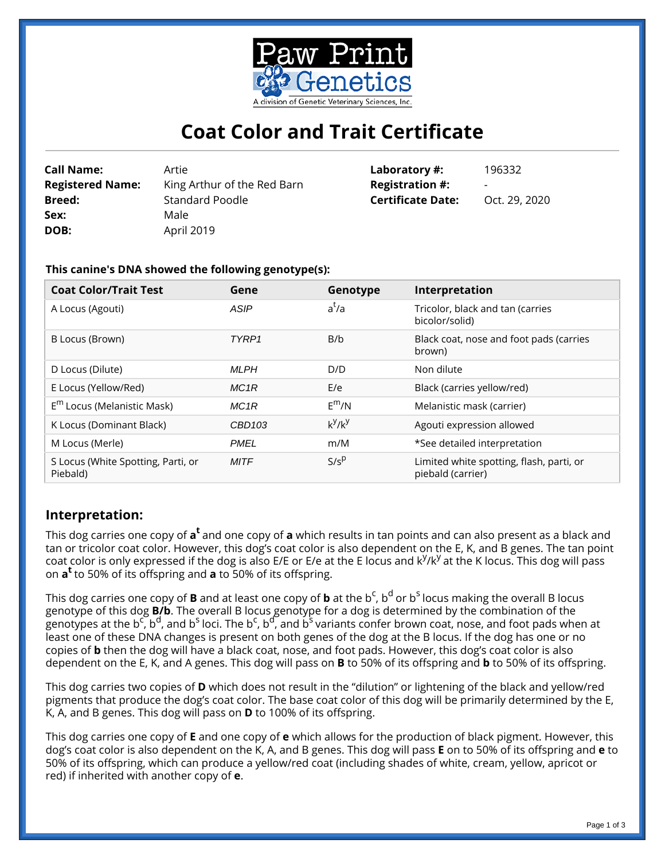

# **Coat Color and Trait Certificate**

| <b>Call Name:</b>       | Artie                       | Laboratory #:            | 196332                   |
|-------------------------|-----------------------------|--------------------------|--------------------------|
| <b>Registered Name:</b> | King Arthur of the Red Barn | <b>Registration #:</b>   | $\overline{\phantom{0}}$ |
| <b>Breed:</b>           | Standard Poodle             | <b>Certificate Date:</b> | Oct. 29, 2020            |
| Sex:                    | Male                        |                          |                          |
| DOB:                    | April 2019                  |                          |                          |

### **This canine's DNA showed the following genotype(s):**

| <b>Coat Color/Trait Test</b>                   | Gene        | Genotype  | Interpretation                                                |
|------------------------------------------------|-------------|-----------|---------------------------------------------------------------|
| A Locus (Agouti)                               | ASIP        | $a^t/a$   | Tricolor, black and tan (carries<br>bicolor/solid)            |
| B Locus (Brown)                                | TYRP1       | B/b       | Black coat, nose and foot pads (carries<br>brown)             |
| D Locus (Dilute)                               | <b>MLPH</b> | D/D       | Non dilute                                                    |
| E Locus (Yellow/Red)                           | MC1R        | E/e       | Black (carries yellow/red)                                    |
| $E^m$ Locus (Melanistic Mask)                  | MC1R        | $E^{m}/N$ | Melanistic mask (carrier)                                     |
| K Locus (Dominant Black)                       | CBD103      | $k^y/k^y$ | Agouti expression allowed                                     |
| M Locus (Merle)                                | <b>PMEL</b> | m/M       | *See detailed interpretation                                  |
| S Locus (White Spotting, Parti, or<br>Piebald) | <b>MITF</b> | $S/s^p$   | Limited white spotting, flash, parti, or<br>piebald (carrier) |

# **Interpretation:**

This dog carries one copy of **a<sup>t</sup>** and one copy of **a** which results in tan points and can also present as a black and tan or tricolor coat color. However, this dog's coat color is also dependent on the E, K, and B genes. The tan point coat color is only expressed if the dog is also E/E or E/e at the E locus and k<sup>y</sup>/k<sup>y</sup> at the K locus. This dog will pass on **a <sup>t</sup>**to 50% of its offspring and **a** to 50% of its offspring.

This dog carries one copy of **B** and at least one copy of **b** at the b<sup>c</sup>, b<sup>d</sup> or b<sup>s</sup> locus making the overall B locus genotype of this dog **B/b**. The overall B locus genotype for a dog is determined by the combination of the genotypes at the b<sup>c</sup>, b<sup>d</sup>, and b<sup>s</sup> loci. The b<sup>c</sup>, b<sup>d</sup>, and b<sup>s</sup> variants confer brown coat, nose, and foot pads when at least one of these DNA changes is present on both genes of the dog at the B locus. If the dog has one or no copies of **b** then the dog will have a black coat, nose, and foot pads. However, this dog's coat color is also dependent on the E, K, and A genes. This dog will pass on **B** to 50% of its offspring and **b** to 50% of its offspring.

This dog carries two copies of **D** which does not result in the "dilution" or lightening of the black and yellow/red pigments that produce the dog's coat color. The base coat color of this dog will be primarily determined by the E, K, A, and B genes. This dog will pass on **D** to 100% of its offspring.

This dog carries one copy of **E** and one copy of **e** which allows for the production of black pigment. However, this dog's coat color is also dependent on the K, A, and B genes. This dog will pass **E** on to 50% of its offspring and **e** to 50% of its offspring, which can produce a yellow/red coat (including shades of white, cream, yellow, apricot or red) if inherited with another copy of **e**.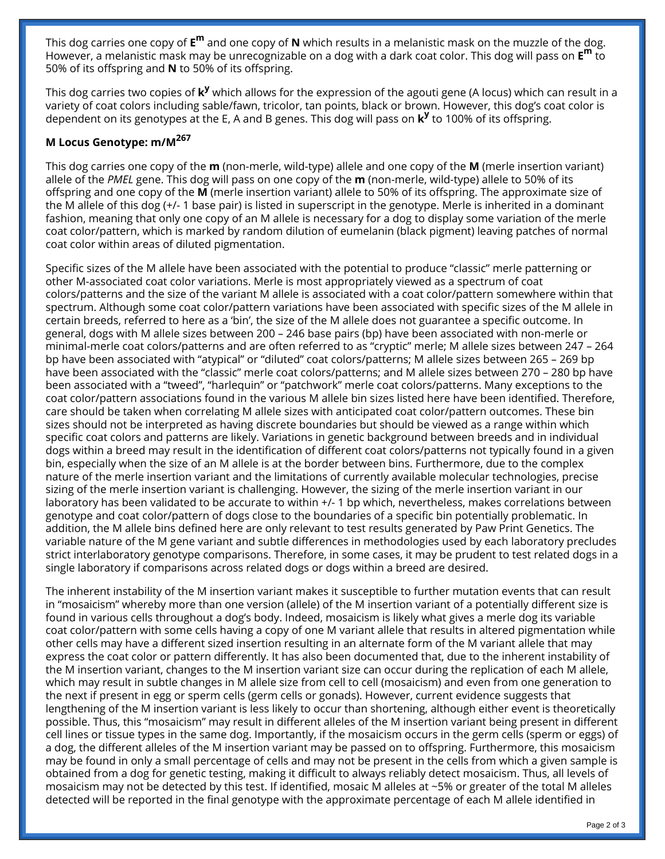This dog carries one copy of  $\texttt{E}^{\textbf{m}}$  and one copy of **N** which results in a melanistic mask on the muzzle of the dog. However, a melanistic mask may be unrecognizable on a dog with a dark coat color. This dog will pass on **E <sup>m</sup>** to 50% of its offspring and **N** to 50% of its offspring.

This dog carries two copies of **k<sup>y</sup>** which allows for the expression of the agouti gene (A locus) which can result in a variety of coat colors including sable/fawn, tricolor, tan points, black or brown. However, this dog's coat color is dependent on its genotypes at the E, A and B genes. This dog will pass on **k y** to 100% of its offspring.

## **M Locus Genotype: m/M<sup>267</sup>**

This dog carries one copy of the **m** (non-merle, wild-type) allele and one copy of the **M** (merle insertion variant) allele of the *PMEL* gene. This dog will pass on one copy of the **m** (non-merle, wild-type) allele to 50% of its offspring and one copy of the **M** (merle insertion variant) allele to 50% of its offspring. The approximate size of the M allele of this dog (+/- 1 base pair) is listed in superscript in the genotype. Merle is inherited in a dominant fashion, meaning that only one copy of an M allele is necessary for a dog to display some variation of the merle coat color/pattern, which is marked by random dilution of eumelanin (black pigment) leaving patches of normal coat color within areas of diluted pigmentation.

Specific sizes of the M allele have been associated with the potential to produce "classic" merle patterning or other M-associated coat color variations. Merle is most appropriately viewed as a spectrum of coat colors/patterns and the size of the variant M allele is associated with a coat color/pattern somewhere within that spectrum. Although some coat color/pattern variations have been associated with specific sizes of the M allele in certain breeds, referred to here as a 'bin', the size of the M allele does not guarantee a specific outcome. In general, dogs with M allele sizes between 200 – 246 base pairs (bp) have been associated with non-merle or minimal-merle coat colors/patterns and are often referred to as "cryptic" merle; M allele sizes between 247 – 264 bp have been associated with "atypical" or "diluted" coat colors/patterns; M allele sizes between 265 – 269 bp have been associated with the "classic" merle coat colors/patterns; and M allele sizes between 270 – 280 bp have been associated with a "tweed", "harlequin" or "patchwork" merle coat colors/patterns. Many exceptions to the coat color/pattern associations found in the various M allele bin sizes listed here have been identified. Therefore, care should be taken when correlating M allele sizes with anticipated coat color/pattern outcomes. These bin sizes should not be interpreted as having discrete boundaries but should be viewed as a range within which specific coat colors and patterns are likely. Variations in genetic background between breeds and in individual dogs within a breed may result in the identification of different coat colors/patterns not typically found in a given bin, especially when the size of an M allele is at the border between bins. Furthermore, due to the complex nature of the merle insertion variant and the limitations of currently available molecular technologies, precise sizing of the merle insertion variant is challenging. However, the sizing of the merle insertion variant in our laboratory has been validated to be accurate to within +/- 1 bp which, nevertheless, makes correlations between genotype and coat color/pattern of dogs close to the boundaries of a specific bin potentially problematic. In addition, the M allele bins defined here are only relevant to test results generated by Paw Print Genetics. The variable nature of the M gene variant and subtle differences in methodologies used by each laboratory precludes strict interlaboratory genotype comparisons. Therefore, in some cases, it may be prudent to test related dogs in a single laboratory if comparisons across related dogs or dogs within a breed are desired.

The inherent instability of the M insertion variant makes it susceptible to further mutation events that can result in "mosaicism" whereby more than one version (allele) of the M insertion variant of a potentially different size is found in various cells throughout a dog's body. Indeed, mosaicism is likely what gives a merle dog its variable coat color/pattern with some cells having a copy of one M variant allele that results in altered pigmentation while other cells may have a different sized insertion resulting in an alternate form of the M variant allele that may express the coat color or pattern differently. It has also been documented that, due to the inherent instability of the M insertion variant, changes to the M insertion variant size can occur during the replication of each M allele, which may result in subtle changes in M allele size from cell to cell (mosaicism) and even from one generation to the next if present in egg or sperm cells (germ cells or gonads). However, current evidence suggests that lengthening of the M insertion variant is less likely to occur than shortening, although either event is theoretically possible. Thus, this "mosaicism" may result in different alleles of the M insertion variant being present in different cell lines or tissue types in the same dog. Importantly, if the mosaicism occurs in the germ cells (sperm or eggs) of a dog, the different alleles of the M insertion variant may be passed on to offspring. Furthermore, this mosaicism may be found in only a small percentage of cells and may not be present in the cells from which a given sample is obtained from a dog for genetic testing, making it difficult to always reliably detect mosaicism. Thus, all levels of mosaicism may not be detected by this test. If identified, mosaic M alleles at ~5% or greater of the total M alleles detected will be reported in the final genotype with the approximate percentage of each M allele identified in